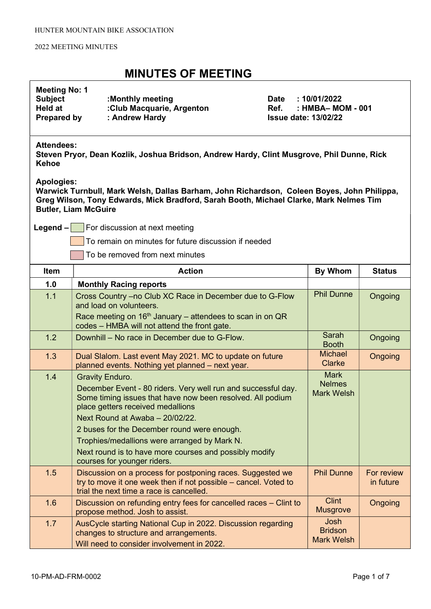| <b>Meeting No: 1</b><br><b>Subject</b><br><b>Held at</b><br><b>Prepared by</b>                                                 | :Monthly meeting<br>:Club Macquarie, Argenton<br>Ref.<br>: Andrew Hardy                                                                                                                                                                                                                                                                                                                                               | <b>Date</b> | : 10/01/2022<br>: HMBA- MOM - 001<br><b>Issue date: 13/02/22</b> |                         |
|--------------------------------------------------------------------------------------------------------------------------------|-----------------------------------------------------------------------------------------------------------------------------------------------------------------------------------------------------------------------------------------------------------------------------------------------------------------------------------------------------------------------------------------------------------------------|-------------|------------------------------------------------------------------|-------------------------|
| <b>Attendees:</b><br>Steven Pryor, Dean Kozlik, Joshua Bridson, Andrew Hardy, Clint Musgrove, Phil Dunne, Rick<br><b>Kehoe</b> |                                                                                                                                                                                                                                                                                                                                                                                                                       |             |                                                                  |                         |
| <b>Apologies:</b>                                                                                                              | Warwick Turnbull, Mark Welsh, Dallas Barham, John Richardson, Coleen Boyes, John Philippa,<br>Greg Wilson, Tony Edwards, Mick Bradford, Sarah Booth, Michael Clarke, Mark Nelmes Tim<br><b>Butler, Liam McGuire</b>                                                                                                                                                                                                   |             |                                                                  |                         |
| Legend $-$                                                                                                                     | For discussion at next meeting                                                                                                                                                                                                                                                                                                                                                                                        |             |                                                                  |                         |
|                                                                                                                                | To remain on minutes for future discussion if needed                                                                                                                                                                                                                                                                                                                                                                  |             |                                                                  |                         |
|                                                                                                                                | To be removed from next minutes                                                                                                                                                                                                                                                                                                                                                                                       |             |                                                                  |                         |
| Item                                                                                                                           | <b>Action</b>                                                                                                                                                                                                                                                                                                                                                                                                         |             | By Whom                                                          | <b>Status</b>           |
| 1.0                                                                                                                            | <b>Monthly Racing reports</b>                                                                                                                                                                                                                                                                                                                                                                                         |             |                                                                  |                         |
| 1.1                                                                                                                            | Cross Country -no Club XC Race in December due to G-Flow<br>and load on volunteers.                                                                                                                                                                                                                                                                                                                                   |             | <b>Phil Dunne</b>                                                | Ongoing                 |
|                                                                                                                                | Race meeting on $16th$ January – attendees to scan in on QR<br>codes - HMBA will not attend the front gate.                                                                                                                                                                                                                                                                                                           |             |                                                                  |                         |
| 1.2                                                                                                                            | Downhill – No race in December due to G-Flow.                                                                                                                                                                                                                                                                                                                                                                         |             | Sarah<br><b>Booth</b>                                            | Ongoing                 |
| 1.3                                                                                                                            | Dual Slalom. Last event May 2021. MC to update on future<br>planned events. Nothing yet planned - next year.                                                                                                                                                                                                                                                                                                          |             | <b>Michael</b><br>Clarke                                         | Ongoing                 |
| 1.4                                                                                                                            | <b>Gravity Enduro.</b><br>December Event - 80 riders. Very well run and successful day.<br>Some timing issues that have now been resolved. All podium<br>place getters received medallions<br>Next Round at Awaba - 20/02/22.<br>2 buses for the December round were enough.<br>Trophies/medallions were arranged by Mark N.<br>Next round is to have more courses and possibly modify<br>courses for younger riders. |             | <b>Mark</b><br><b>Nelmes</b><br><b>Mark Welsh</b>                |                         |
| 1.5                                                                                                                            | Discussion on a process for postponing races. Suggested we<br>try to move it one week then if not possible – cancel. Voted to<br>trial the next time a race is cancelled.                                                                                                                                                                                                                                             |             | <b>Phil Dunne</b>                                                | For review<br>in future |
| 1.6                                                                                                                            | Discussion on refunding entry fees for cancelled races – Clint to<br>propose method. Josh to assist.                                                                                                                                                                                                                                                                                                                  |             | <b>Clint</b><br><b>Musgrove</b>                                  | Ongoing                 |
| 1.7                                                                                                                            | AusCycle starting National Cup in 2022. Discussion regarding<br>changes to structure and arrangements.<br>Will need to consider involvement in 2022.                                                                                                                                                                                                                                                                  |             | Josh<br><b>Bridson</b><br><b>Mark Welsh</b>                      |                         |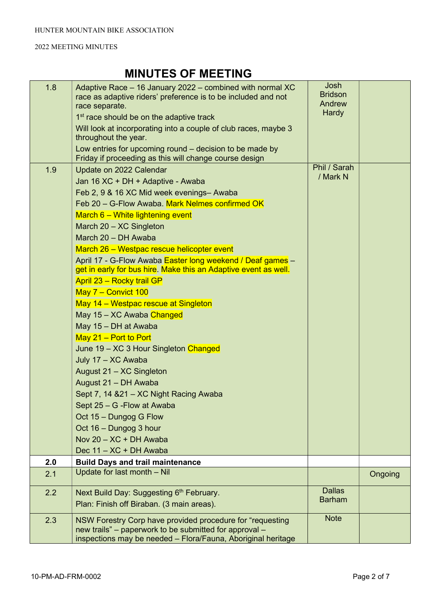| 1.8 | Adaptive Race – 16 January 2022 – combined with normal XC<br>race as adaptive riders' preference is to be included and not | Josh<br><b>Bridson</b><br>Andrew |         |
|-----|----------------------------------------------------------------------------------------------------------------------------|----------------------------------|---------|
|     | race separate.<br>1 <sup>st</sup> race should be on the adaptive track                                                     | <b>Hardy</b>                     |         |
|     | Will look at incorporating into a couple of club races, maybe 3                                                            |                                  |         |
|     | throughout the year.                                                                                                       |                                  |         |
|     | Low entries for upcoming round – decision to be made by<br>Friday if proceeding as this will change course design          |                                  |         |
| 1.9 | Update on 2022 Calendar                                                                                                    | Phil / Sarah<br>/ Mark N         |         |
|     | Jan 16 XC + DH + Adaptive - Awaba                                                                                          |                                  |         |
|     | Feb 2, 9 & 16 XC Mid week evenings- Awaba                                                                                  |                                  |         |
|     | Feb 20 - G-Flow Awaba. Mark Nelmes confirmed OK                                                                            |                                  |         |
|     | March 6 - White lightening event                                                                                           |                                  |         |
|     | March 20 - XC Singleton                                                                                                    |                                  |         |
|     | March 20 - DH Awaba                                                                                                        |                                  |         |
|     | March 26 - Westpac rescue helicopter event                                                                                 |                                  |         |
|     | April 17 - G-Flow Awaba Easter long weekend / Deaf games -                                                                 |                                  |         |
|     | get in early for bus hire. Make this an Adaptive event as well.                                                            |                                  |         |
|     | April 23 - Rocky trail GP                                                                                                  |                                  |         |
|     | May 7 - Convict 100                                                                                                        |                                  |         |
|     | May 14 - Westpac rescue at Singleton                                                                                       |                                  |         |
|     | May 15 - XC Awaba Changed                                                                                                  |                                  |         |
|     | May 15 - DH at Awaba                                                                                                       |                                  |         |
|     | May $21$ – Port to Port                                                                                                    |                                  |         |
|     | June 19 - XC 3 Hour Singleton Changed                                                                                      |                                  |         |
|     | July 17 - XC Awaba                                                                                                         |                                  |         |
|     | August 21 - XC Singleton                                                                                                   |                                  |         |
|     | August 21 - DH Awaba                                                                                                       |                                  |         |
|     | Sept 7, 14 & 21 - XC Night Racing Awaba                                                                                    |                                  |         |
|     | Sept 25 - G - Flow at Awaba                                                                                                |                                  |         |
|     | Oct 15 - Dungog G Flow                                                                                                     |                                  |         |
|     | Oct 16 - Dungog 3 hour                                                                                                     |                                  |         |
|     | Nov 20 - XC + DH Awaba                                                                                                     |                                  |         |
|     | Dec 11 - XC + DH Awaba                                                                                                     |                                  |         |
| 2.0 | <b>Build Days and trail maintenance</b>                                                                                    |                                  |         |
| 2.1 | Update for last month - Nil                                                                                                |                                  | Ongoing |
| 2.2 | Next Build Day: Suggesting 6th February.                                                                                   | <b>Dallas</b>                    |         |
|     | Plan: Finish off Biraban. (3 main areas).                                                                                  | <b>Barham</b>                    |         |
| 2.3 | NSW Forestry Corp have provided procedure for "requesting                                                                  | <b>Note</b>                      |         |
|     | new trails" – paperwork to be submitted for approval –                                                                     |                                  |         |
|     | inspections may be needed - Flora/Fauna, Aboriginal heritage                                                               |                                  |         |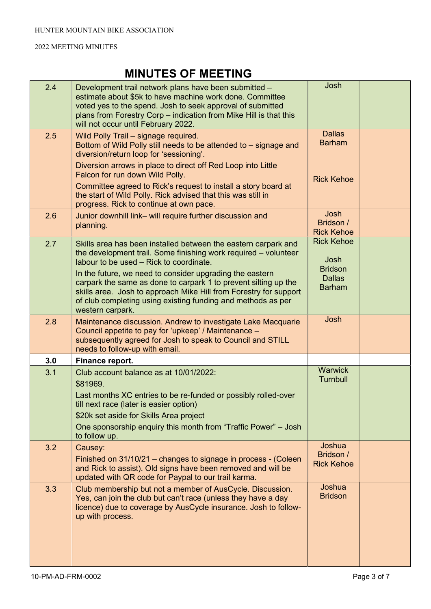| 2.4 | Development trail network plans have been submitted -<br>estimate about \$5k to have machine work done. Committee<br>voted yes to the spend. Josh to seek approval of submitted<br>plans from Forestry Corp - indication from Mike Hill is that this<br>will not occur until February 2022.                                                                                                                                                                          | Josh                                                                          |  |
|-----|----------------------------------------------------------------------------------------------------------------------------------------------------------------------------------------------------------------------------------------------------------------------------------------------------------------------------------------------------------------------------------------------------------------------------------------------------------------------|-------------------------------------------------------------------------------|--|
| 2.5 | Wild Polly Trail - signage required.<br>Bottom of Wild Polly still needs to be attended to - signage and<br>diversion/return loop for 'sessioning'.<br>Diversion arrows in place to direct off Red Loop into Little<br>Falcon for run down Wild Polly.<br>Committee agreed to Rick's request to install a story board at<br>the start of Wild Polly. Rick advised that this was still in<br>progress. Rick to continue at own pace.                                  | <b>Dallas</b><br><b>Barham</b><br><b>Rick Kehoe</b>                           |  |
| 2.6 | Junior downhill link- will require further discussion and<br>planning.                                                                                                                                                                                                                                                                                                                                                                                               | Josh<br>Bridson /<br><b>Rick Kehoe</b>                                        |  |
| 2.7 | Skills area has been installed between the eastern carpark and<br>the development trail. Some finishing work required – volunteer<br>labour to be used - Rick to coordinate.<br>In the future, we need to consider upgrading the eastern<br>carpark the same as done to carpark 1 to prevent silting up the<br>skills area. Josh to approach Mike Hill from Forestry for support<br>of club completing using existing funding and methods as per<br>western carpark. | <b>Rick Kehoe</b><br>Josh<br><b>Bridson</b><br><b>Dallas</b><br><b>Barham</b> |  |
| 2.8 | Maintenance discussion. Andrew to investigate Lake Macquarie<br>Council appetite to pay for 'upkeep' / Maintenance -<br>subsequently agreed for Josh to speak to Council and STILL<br>needs to follow-up with email.                                                                                                                                                                                                                                                 | Josh                                                                          |  |
| 3.0 | Finance report.                                                                                                                                                                                                                                                                                                                                                                                                                                                      |                                                                               |  |
| 3.1 | Club account balance as at 10/01/2022:<br>\$81969.<br>Last months XC entries to be re-funded or possibly rolled-over<br>till next race (later is easier option)<br>\$20k set aside for Skills Area project<br>One sponsorship enquiry this month from "Traffic Power" - Josh<br>to follow up.                                                                                                                                                                        | <b>Warwick</b><br>Turnbull                                                    |  |
| 3.2 | Causey:<br>Finished on 31/10/21 – changes to signage in process - (Coleen<br>and Rick to assist). Old signs have been removed and will be<br>updated with QR code for Paypal to our trail karma.                                                                                                                                                                                                                                                                     | Joshua<br>Bridson /<br><b>Rick Kehoe</b>                                      |  |
| 3.3 | Club membership but not a member of AusCycle. Discussion.<br>Yes, can join the club but can't race (unless they have a day<br>licence) due to coverage by AusCycle insurance. Josh to follow-<br>up with process.                                                                                                                                                                                                                                                    | Joshua<br><b>Bridson</b>                                                      |  |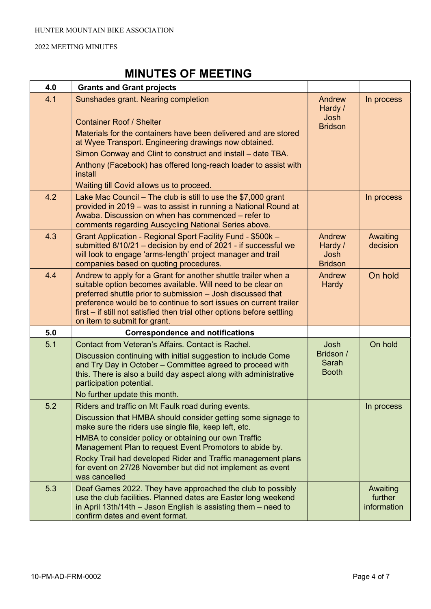| 4.0 | <b>Grants and Grant projects</b>                                                                                                                                                                                                                                                                                                                                                                                                              |                                                    |                                    |
|-----|-----------------------------------------------------------------------------------------------------------------------------------------------------------------------------------------------------------------------------------------------------------------------------------------------------------------------------------------------------------------------------------------------------------------------------------------------|----------------------------------------------------|------------------------------------|
| 4.1 | Sunshades grant. Nearing completion<br><b>Container Roof / Shelter</b><br>Materials for the containers have been delivered and are stored<br>at Wyee Transport. Engineering drawings now obtained.<br>Simon Conway and Clint to construct and install – date TBA.                                                                                                                                                                             | Andrew<br>Hardy /<br><b>Josh</b><br><b>Bridson</b> | In process                         |
|     | Anthony (Facebook) has offered long-reach loader to assist with<br>install<br>Waiting till Covid allows us to proceed.                                                                                                                                                                                                                                                                                                                        |                                                    |                                    |
| 4.2 | Lake Mac Council $-$ The club is still to use the \$7,000 grant<br>provided in 2019 – was to assist in running a National Round at<br>Awaba. Discussion on when has commenced – refer to<br>comments regarding Auscycling National Series above.                                                                                                                                                                                              |                                                    | In process                         |
| 4.3 | Grant Application - Regional Sport Facility Fund - \$500k -<br>submitted 8/10/21 - decision by end of 2021 - if successful we<br>will look to engage 'arms-length' project manager and trail<br>companies based on quoting procedures.                                                                                                                                                                                                        | Andrew<br>Hardy /<br><b>Josh</b><br><b>Bridson</b> | Awaiting<br>decision               |
| 4.4 | Andrew to apply for a Grant for another shuttle trailer when a<br>suitable option becomes available. Will need to be clear on<br>preferred shuttle prior to submission - Josh discussed that<br>preference would be to continue to sort issues on current trailer<br>first – if still not satisfied then trial other options before settling<br>on item to submit for grant.                                                                  | Andrew<br>Hardy                                    | On hold                            |
| 5.0 | <b>Correspondence and notifications</b>                                                                                                                                                                                                                                                                                                                                                                                                       |                                                    |                                    |
| 5.1 | Contact from Veteran's Affairs. Contact is Rachel.<br>Discussion continuing with initial suggestion to include Come<br>and Try Day in October - Committee agreed to proceed with<br>this. There is also a build day aspect along with administrative<br>participation potential.<br>No further update this month.                                                                                                                             | Josh<br>Bridson /<br>Sarah<br><b>Booth</b>         | On hold                            |
| 5.2 | Riders and traffic on Mt Faulk road during events.<br>Discussion that HMBA should consider getting some signage to<br>make sure the riders use single file, keep left, etc.<br>HMBA to consider policy or obtaining our own Traffic<br>Management Plan to request Event Promotors to abide by.<br>Rocky Trail had developed Rider and Traffic management plans<br>for event on 27/28 November but did not implement as event<br>was cancelled |                                                    | In process                         |
| 5.3 | Deaf Games 2022. They have approached the club to possibly<br>use the club facilities. Planned dates are Easter long weekend<br>in April 13th/14th $-$ Jason English is assisting them $-$ need to<br>confirm dates and event format.                                                                                                                                                                                                         |                                                    | Awaiting<br>further<br>information |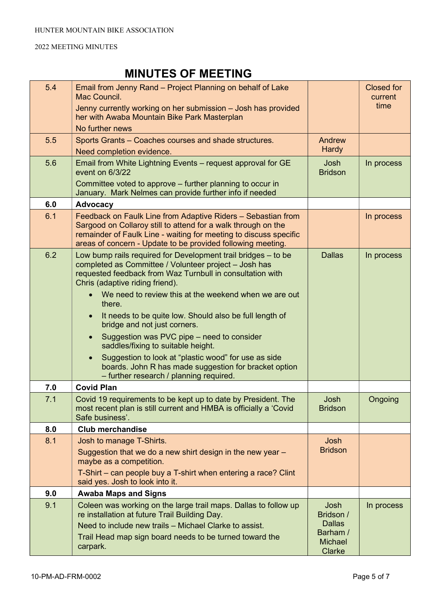| 5.4 | Email from Jenny Rand - Project Planning on behalf of Lake<br>Mac Council.                                                                                                                                                                                        |                                    | <b>Closed for</b><br>current |
|-----|-------------------------------------------------------------------------------------------------------------------------------------------------------------------------------------------------------------------------------------------------------------------|------------------------------------|------------------------------|
|     | Jenny currently working on her submission - Josh has provided<br>her with Awaba Mountain Bike Park Masterplan                                                                                                                                                     |                                    | time                         |
|     | No further news                                                                                                                                                                                                                                                   |                                    |                              |
| 5.5 | Sports Grants - Coaches courses and shade structures.                                                                                                                                                                                                             | Andrew                             |                              |
|     | Need completion evidence.                                                                                                                                                                                                                                         | <b>Hardy</b>                       |                              |
| 5.6 | Email from White Lightning Events - request approval for GE<br>event on 6/3/22                                                                                                                                                                                    | Josh<br><b>Bridson</b>             | In process                   |
|     | Committee voted to approve – further planning to occur in<br>January. Mark Nelmes can provide further info if needed                                                                                                                                              |                                    |                              |
| 6.0 | <b>Advocacy</b>                                                                                                                                                                                                                                                   |                                    |                              |
| 6.1 | Feedback on Faulk Line from Adaptive Riders - Sebastian from<br>Sargood on Collaroy still to attend for a walk through on the<br>remainder of Faulk Line - waiting for meeting to discuss specific<br>areas of concern - Update to be provided following meeting. |                                    | In process                   |
| 6.2 | Low bump rails required for Development trail bridges - to be<br>completed as Committee / Volunteer project - Josh has<br>requested feedback from Waz Turnbull in consultation with<br>Chris (adaptive riding friend).                                            | <b>Dallas</b>                      | In process                   |
|     | We need to review this at the weekend when we are out<br>there.                                                                                                                                                                                                   |                                    |                              |
|     | It needs to be quite low. Should also be full length of<br>bridge and not just corners.                                                                                                                                                                           |                                    |                              |
|     | Suggestion was PVC pipe – need to consider<br>$\bullet$<br>saddles/fixing to suitable height.                                                                                                                                                                     |                                    |                              |
|     | Suggestion to look at "plastic wood" for use as side<br>boards. John R has made suggestion for bracket option<br>- further research / planning required.                                                                                                          |                                    |                              |
| 7.0 | <b>Covid Plan</b>                                                                                                                                                                                                                                                 |                                    |                              |
| 7.1 | Covid 19 requirements to be kept up to date by President. The<br>most recent plan is still current and HMBA is officially a 'Covid<br>Safe business'.                                                                                                             | Josh<br><b>Bridson</b>             | Ongoing                      |
| 8.0 | <b>Club merchandise</b>                                                                                                                                                                                                                                           |                                    |                              |
| 8.1 | Josh to manage T-Shirts.                                                                                                                                                                                                                                          | Josh                               |                              |
|     | Suggestion that we do a new shirt design in the new year $-$<br>maybe as a competition.                                                                                                                                                                           | <b>Bridson</b>                     |                              |
|     | T-Shirt – can people buy a T-shirt when entering a race? Clint<br>said yes. Josh to look into it.                                                                                                                                                                 |                                    |                              |
| 9.0 | <b>Awaba Maps and Signs</b>                                                                                                                                                                                                                                       |                                    |                              |
| 9.1 | Coleen was working on the large trail maps. Dallas to follow up<br>re installation at future Trail Building Day.                                                                                                                                                  | Josh<br>Bridson /<br><b>Dallas</b> | In process                   |
|     | Need to include new trails - Michael Clarke to assist.                                                                                                                                                                                                            | Barham /                           |                              |
|     | Trail Head map sign board needs to be turned toward the<br>carpark.                                                                                                                                                                                               | <b>Michael</b><br>Clarke           |                              |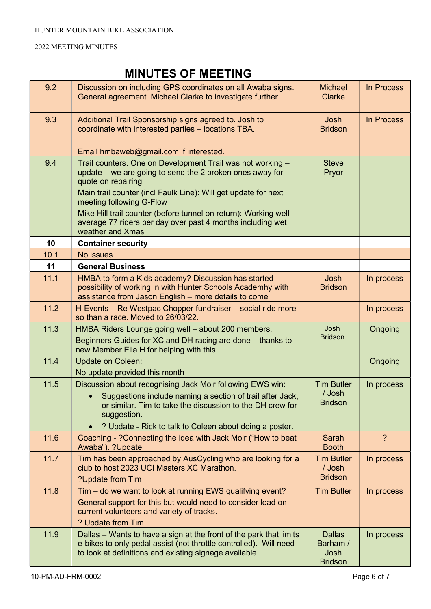| 9.2  | Discussion on including GPS coordinates on all Awaba signs.<br>General agreement. Michael Clarke to investigate further.                                                                                                                                                                                                                                                                          | <b>Michael</b><br><b>Clarke</b>                     | In Process     |
|------|---------------------------------------------------------------------------------------------------------------------------------------------------------------------------------------------------------------------------------------------------------------------------------------------------------------------------------------------------------------------------------------------------|-----------------------------------------------------|----------------|
| 9.3  | Additional Trail Sponsorship signs agreed to. Josh to<br>coordinate with interested parties - locations TBA.                                                                                                                                                                                                                                                                                      | Josh<br><b>Bridson</b>                              | In Process     |
|      | Email hmbaweb@gmail.com if interested.                                                                                                                                                                                                                                                                                                                                                            |                                                     |                |
| 9.4  | Trail counters. One on Development Trail was not working -<br>update – we are going to send the 2 broken ones away for<br>quote on repairing<br>Main trail counter (incl Faulk Line): Will get update for next<br>meeting following G-Flow<br>Mike Hill trail counter (before tunnel on return): Working well -<br>average 77 riders per day over past 4 months including wet<br>weather and Xmas | <b>Steve</b><br>Pryor                               |                |
| 10   | <b>Container security</b>                                                                                                                                                                                                                                                                                                                                                                         |                                                     |                |
| 10.1 | No issues                                                                                                                                                                                                                                                                                                                                                                                         |                                                     |                |
| 11   | <b>General Business</b>                                                                                                                                                                                                                                                                                                                                                                           |                                                     |                |
| 11.1 | HMBA to form a Kids academy? Discussion has started -<br>possibility of working in with Hunter Schools Academhy with<br>assistance from Jason English - more details to come                                                                                                                                                                                                                      | Josh<br><b>Bridson</b>                              | In process     |
| 11.2 | H-Events - Re Westpac Chopper fundraiser - social ride more<br>so than a race. Moved to 26/03/22.                                                                                                                                                                                                                                                                                                 |                                                     | In process     |
| 11.3 | HMBA Riders Lounge going well - about 200 members.<br>Beginners Guides for XC and DH racing are done - thanks to<br>new Member Ella H for helping with this                                                                                                                                                                                                                                       | Josh<br><b>Bridson</b>                              | Ongoing        |
| 11.4 | <b>Update on Coleen:</b><br>No update provided this month                                                                                                                                                                                                                                                                                                                                         |                                                     | Ongoing        |
| 11.5 | Discussion about recognising Jack Moir following EWS win:<br>Suggestions include naming a section of trail after Jack,<br>or similar. Tim to take the discussion to the DH crew for<br>suggestion.<br>? Update - Rick to talk to Coleen about doing a poster.                                                                                                                                     | <b>Tim Butler</b><br>/ Josh<br><b>Bridson</b>       | In process     |
| 11.6 | Coaching - ?Connecting the idea with Jack Moir ("How to beat<br>Awaba"). ?Update                                                                                                                                                                                                                                                                                                                  | Sarah<br><b>Booth</b>                               | $\overline{?}$ |
| 11.7 | Tim has been approached by AusCycling who are looking for a<br>club to host 2023 UCI Masters XC Marathon.<br>?Update from Tim                                                                                                                                                                                                                                                                     | <b>Tim Butler</b><br>/ Josh<br><b>Bridson</b>       | In process     |
| 11.8 | Tim – do we want to look at running EWS qualifying event?<br>General support for this but would need to consider load on<br>current volunteers and variety of tracks.<br>? Update from Tim                                                                                                                                                                                                        | <b>Tim Butler</b>                                   | In process     |
| 11.9 | Dallas – Wants to have a sign at the front of the park that limits<br>e-bikes to only pedal assist (not throttle controlled). Will need<br>to look at definitions and existing signage available.                                                                                                                                                                                                 | <b>Dallas</b><br>Barham /<br>Josh<br><b>Bridson</b> | In process     |